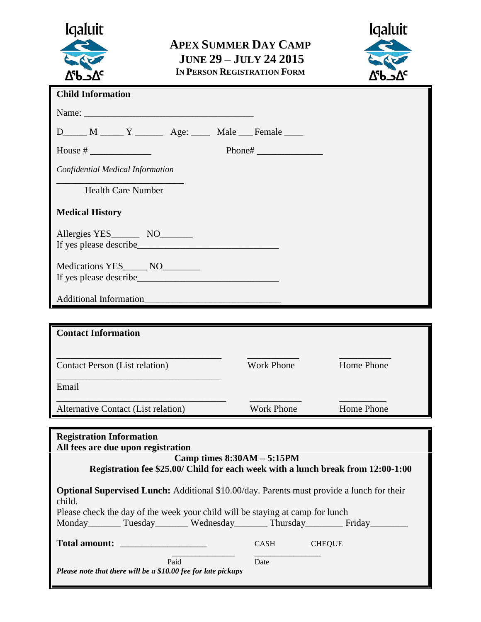| <b>I</b> galuit<br>T<br>∆�∽⊽                                                                                                                                                                                                            | <b>APEX SUMMER DAY CAMP</b><br><b>JUNE 29 - JULY 24 2015</b><br>IN PERSON REGISTRATION FORM |                   | <b>Igaluit</b><br>$\nabla_{c}P\nabla_{c}$                                        |
|-----------------------------------------------------------------------------------------------------------------------------------------------------------------------------------------------------------------------------------------|---------------------------------------------------------------------------------------------|-------------------|----------------------------------------------------------------------------------|
| <b>Child Information</b>                                                                                                                                                                                                                |                                                                                             |                   |                                                                                  |
| Name:                                                                                                                                                                                                                                   |                                                                                             |                   |                                                                                  |
| D_____ M _____ Y ________ Age: _____ Male ___ Female ____                                                                                                                                                                               |                                                                                             |                   |                                                                                  |
|                                                                                                                                                                                                                                         |                                                                                             | Phone#            |                                                                                  |
| Confidential Medical Information                                                                                                                                                                                                        |                                                                                             |                   |                                                                                  |
| <b>Health Care Number</b>                                                                                                                                                                                                               |                                                                                             |                   |                                                                                  |
| <b>Medical History</b>                                                                                                                                                                                                                  |                                                                                             |                   |                                                                                  |
|                                                                                                                                                                                                                                         |                                                                                             |                   |                                                                                  |
| Medications YES_____ NO_______                                                                                                                                                                                                          |                                                                                             |                   |                                                                                  |
| Additional Information                                                                                                                                                                                                                  |                                                                                             |                   |                                                                                  |
|                                                                                                                                                                                                                                         |                                                                                             |                   |                                                                                  |
| <b>Contact Information</b>                                                                                                                                                                                                              |                                                                                             |                   |                                                                                  |
| <b>Contact Person (List relation)</b>                                                                                                                                                                                                   | Work Phone                                                                                  |                   | Home Phone                                                                       |
| Email                                                                                                                                                                                                                                   |                                                                                             |                   |                                                                                  |
| Alternative Contact (List relation)                                                                                                                                                                                                     |                                                                                             | <b>Work Phone</b> | Home Phone                                                                       |
| <b>Registration Information</b><br>All fees are due upon registration                                                                                                                                                                   | Camp times $8:30AM - 5:15PM$                                                                |                   |                                                                                  |
|                                                                                                                                                                                                                                         |                                                                                             |                   | Registration fee \$25.00/ Child for each week with a lunch break from 12:00-1:00 |
| <b>Optional Supervised Lunch:</b> Additional \$10.00/day. Parents must provide a lunch for their<br>child.<br>Please check the day of the week your child will be staying at camp for lunch<br>Monday Tuesday Wednesday Thursday Friday |                                                                                             |                   |                                                                                  |
| <b>Total amount:</b>                                                                                                                                                                                                                    |                                                                                             | CASH              | <b>CHEQUE</b>                                                                    |
| Please note that there will be a \$10.00 fee for late pickups                                                                                                                                                                           | Paid                                                                                        | Date              |                                                                                  |

Ш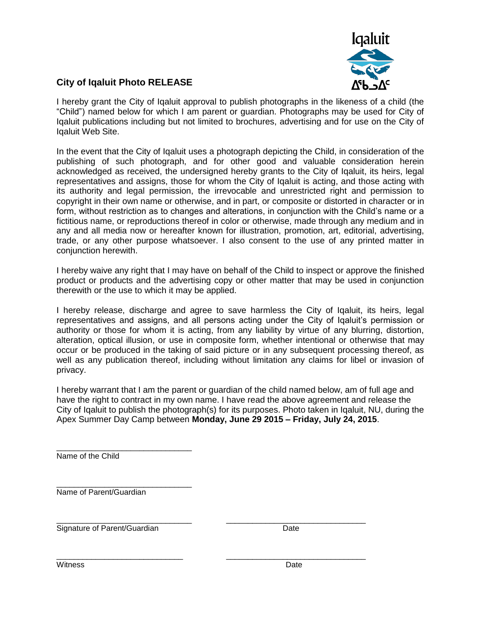

## **City of Iqaluit Photo RELEASE**

I hereby grant the City of Iqaluit approval to publish photographs in the likeness of a child (the "Child") named below for which I am parent or guardian. Photographs may be used for City of Iqaluit publications including but not limited to brochures, advertising and for use on the City of Iqaluit Web Site.

In the event that the City of Iqaluit uses a photograph depicting the Child, in consideration of the publishing of such photograph, and for other good and valuable consideration herein acknowledged as received, the undersigned hereby grants to the City of Iqaluit, its heirs, legal representatives and assigns, those for whom the City of Iqaluit is acting, and those acting with its authority and legal permission, the irrevocable and unrestricted right and permission to copyright in their own name or otherwise, and in part, or composite or distorted in character or in form, without restriction as to changes and alterations, in conjunction with the Child's name or a fictitious name, or reproductions thereof in color or otherwise, made through any medium and in any and all media now or hereafter known for illustration, promotion, art, editorial, advertising, trade, or any other purpose whatsoever. I also consent to the use of any printed matter in conjunction herewith.

I hereby waive any right that I may have on behalf of the Child to inspect or approve the finished product or products and the advertising copy or other matter that may be used in conjunction therewith or the use to which it may be applied.

I hereby release, discharge and agree to save harmless the City of Iqaluit, its heirs, legal representatives and assigns, and all persons acting under the City of Iqaluit's permission or authority or those for whom it is acting, from any liability by virtue of any blurring, distortion, alteration, optical illusion, or use in composite form, whether intentional or otherwise that may occur or be produced in the taking of said picture or in any subsequent processing thereof, as well as any publication thereof, including without limitation any claims for libel or invasion of privacy.

I hereby warrant that I am the parent or guardian of the child named below, am of full age and have the right to contract in my own name. I have read the above agreement and release the City of Iqaluit to publish the photograph(s) for its purposes. Photo taken in Iqaluit, NU, during the Apex Summer Day Camp between **Monday, June 29 2015 – Friday, July 24, 2015**.

\_\_\_\_\_\_\_\_\_\_\_\_\_\_\_\_\_\_\_\_\_\_\_\_\_\_\_\_\_\_\_ Name of the Child

\_\_\_\_\_\_\_\_\_\_\_\_\_\_\_\_\_\_\_\_\_\_\_\_\_\_\_\_\_\_\_ Name of Parent/Guardian

\_\_\_\_\_\_\_\_\_\_\_\_\_\_\_\_\_\_\_\_\_\_\_\_\_\_\_\_\_\_\_ \_\_\_\_\_\_\_\_\_\_\_\_\_\_\_\_\_\_\_\_\_\_\_\_\_\_\_\_\_\_\_\_ Signature of Parent/Guardian Date

\_\_\_\_\_\_\_\_\_\_\_\_\_\_\_\_\_\_\_\_\_\_\_\_\_\_\_\_\_ \_\_\_\_\_\_\_\_\_\_\_\_\_\_\_\_\_\_\_\_\_\_\_\_\_\_\_\_\_\_\_\_ Witness **Date**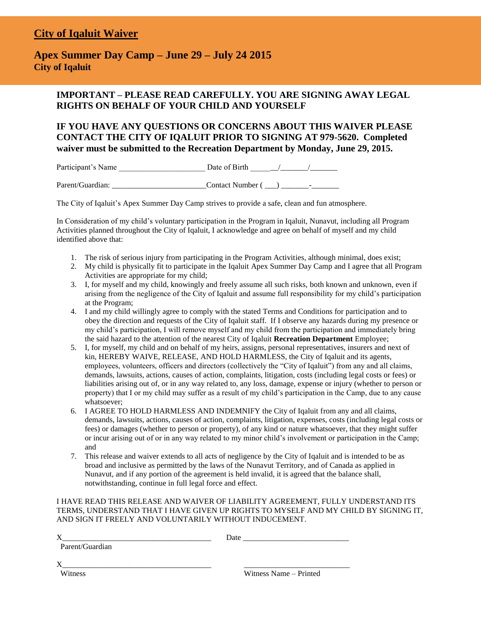## **City of Iqaluit Waiver**

### **Apex Summer Day Camp – June 29 – July 24 2015 City of Iqaluit**

#### **IMPORTANT – PLEASE READ CAREFULLY. YOU ARE SIGNING AWAY LEGAL RIGHTS ON BEHALF OF YOUR CHILD AND YOURSELF**

#### **IF YOU HAVE ANY QUESTIONS OR CONCERNS ABOUT THIS WAIVER PLEASE CONTACT THE CITY OF IQALUIT PRIOR TO SIGNING AT 979-5620. Completed waiver must be submitted to the Recreation Department by Monday, June 29, 2015.**

Participant's Name \_\_\_\_\_\_\_\_\_\_\_\_\_\_\_\_\_\_\_\_\_\_ Date of Birth \_\_\_\_\_\_\_/\_\_\_\_\_\_\_/\_\_\_\_\_\_\_

Parent/Guardian: \_\_\_\_\_\_\_\_\_\_\_\_\_\_\_\_\_\_\_\_\_\_\_\_Contact Number ( \_\_\_) \_\_\_\_\_\_\_-\_\_\_\_\_\_\_

The City of Iqaluit's Apex Summer Day Camp strives to provide a safe, clean and fun atmosphere.

In Consideration of my child's voluntary participation in the Program in Iqaluit, Nunavut, including all Program Activities planned throughout the City of Iqaluit, I acknowledge and agree on behalf of myself and my child identified above that:

- 1. The risk of serious injury from participating in the Program Activities, although minimal, does exist;
- 2. My child is physically fit to participate in the Iqaluit Apex Summer Day Camp and I agree that all Program Activities are appropriate for my child;
- 3. I, for myself and my child, knowingly and freely assume all such risks, both known and unknown, even if arising from the negligence of the City of Iqaluit and assume full responsibility for my child's participation at the Program;
- 4. I and my child willingly agree to comply with the stated Terms and Conditions for participation and to obey the direction and requests of the City of Iqaluit staff. If I observe any hazards during my presence or my child's participation, I will remove myself and my child from the participation and immediately bring the said hazard to the attention of the nearest City of Iqaluit **Recreation Department** Employee;
- 5. I, for myself, my child and on behalf of my heirs, assigns, personal representatives, insurers and next of kin, HEREBY WAIVE, RELEASE, AND HOLD HARMLESS, the City of Iqaluit and its agents, employees, volunteers, officers and directors (collectively the "City of Iqaluit") from any and all claims, demands, lawsuits, actions, causes of action, complaints, litigation, costs (including legal costs or fees) or liabilities arising out of, or in any way related to, any loss, damage, expense or injury (whether to person or property) that I or my child may suffer as a result of my child's participation in the Camp, due to any cause whatsoever;
- 6. I AGREE TO HOLD HARMLESS AND INDEMNIFY the City of Iqaluit from any and all claims, demands, lawsuits, actions, causes of action, complaints, litigation, expenses, costs (including legal costs or fees) or damages (whether to person or property), of any kind or nature whatsoever, that they might suffer or incur arising out of or in any way related to my minor child's involvement or participation in the Camp; and
- 7. This release and waiver extends to all acts of negligence by the City of Iqaluit and is intended to be as broad and inclusive as permitted by the laws of the Nunavut Territory, and of Canada as applied in Nunavut, and if any portion of the agreement is held invalid, it is agreed that the balance shall, notwithstanding, continue in full legal force and effect.

I HAVE READ THIS RELEASE AND WAIVER OF LIABILITY AGREEMENT, FULLY UNDERSTAND ITS TERMS, UNDERSTAND THAT I HAVE GIVEN UP RIGHTS TO MYSELF AND MY CHILD BY SIGNING IT, AND SIGN IT FREELY AND VOLUNTARILY WITHOUT INDUCEMENT.

| Χ               | Date                   |
|-----------------|------------------------|
| Parent/Guardian |                        |
| X               |                        |
| Witness         | Witness Name – Printed |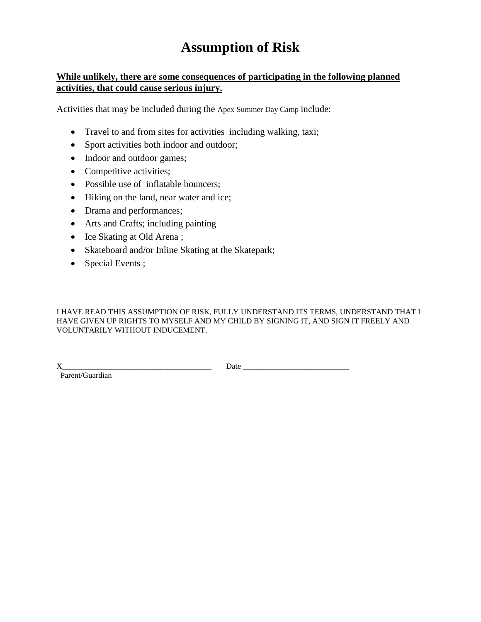# **Assumption of Risk**

#### **While unlikely, there are some consequences of participating in the following planned activities, that could cause serious injury.**

Activities that may be included during the Apex Summer Day Camp include:

- Travel to and from sites for activities including walking, taxi;
- Sport activities both indoor and outdoor;
- Indoor and outdoor games;
- Competitive activities;
- Possible use of inflatable bouncers;
- Hiking on the land, near water and ice;
- Drama and performances;
- Arts and Crafts; including painting
- Ice Skating at Old Arena;
- Skateboard and/or Inline Skating at the Skatepark;
- Special Events;

I HAVE READ THIS ASSUMPTION OF RISK, FULLY UNDERSTAND ITS TERMS, UNDERSTAND THAT I HAVE GIVEN UP RIGHTS TO MYSELF AND MY CHILD BY SIGNING IT, AND SIGN IT FREELY AND VOLUNTARILY WITHOUT INDUCEMENT.

Parent/Guardian

X\_\_\_\_\_\_\_\_\_\_\_\_\_\_\_\_\_\_\_\_\_\_\_\_\_\_\_\_\_\_\_\_\_\_\_\_\_\_ Date \_\_\_\_\_\_\_\_\_\_\_\_\_\_\_\_\_\_\_\_\_\_\_\_\_\_\_